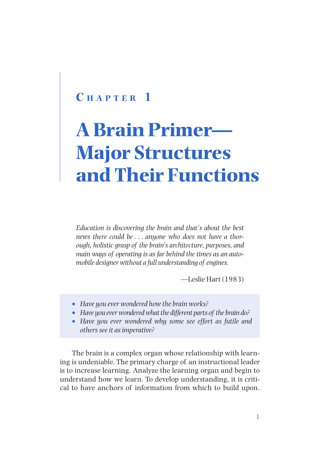# **C h a p t e r 1**

# **A Brain Primer— Major Structures and Their Functions**

*Education is discovering the brain and that's about the best news there could be . . . anyone who does not have a thorough, holistic grasp of the brain's architecture, purposes, and main ways of operating is as far behind the times as an automobile designer without a full understanding of engines.*

—Leslie Hart (1983)

- • *Have you ever wondered how the brain works?*
- Have you ever wondered what the different parts of the brain do?
- • *Have you ever wondered why some see effort as futile and others see it as imperative?*

The brain is a complex organ whose relationship with learning is undeniable. The primary charge of an instructional leader is to increase learning. Analyze the learning organ and begin to understand how we learn. To develop understanding, it is critical to have anchors of information from which to build upon.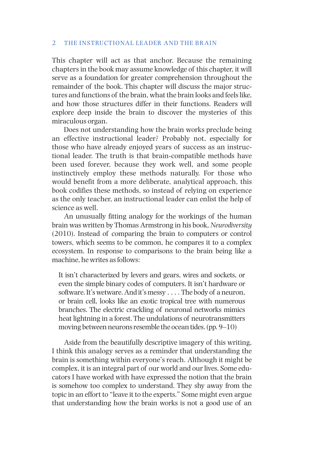This chapter will act as that anchor. Because the remaining chapters in the book may assume knowledge of this chapter, it will serve as a foundation for greater comprehension throughout the remainder of the book. This chapter will discuss the major structures and functions of the brain, what the brain looks and feels like, and how those structures differ in their functions. Readers will explore deep inside the brain to discover the mysteries of this miraculous organ.

Does not understanding how the brain works preclude being an effective instructional leader? Probably not, especially for those who have already enjoyed years of success as an instructional leader. The truth is that brain-compatible methods have been used forever, because they work well, and some people instinctively employ these methods naturally. For those who would benefit from a more deliberate, analytical approach, this book codifies these methods, so instead of relying on experience as the only teacher, an instructional leader can enlist the help of science as well.

An unusually fitting analogy for the workings of the human brain was written by Thomas Armstrong in his book, *Neurodiversity* (2010). Instead of comparing the brain to computers or control towers, which seems to be common, he compares it to a complex ecosystem. In response to comparisons to the brain being like a machine, he writes as follows:

It isn't characterized by levers and gears, wires and sockets, or even the simple binary codes of computers. It isn't hardware or software. It's wetware. And it's messy . . . . The body of a neuron, or brain cell, looks like an exotic tropical tree with numerous branches. The electric crackling of neuronal networks mimics heat lightning in a forest. The undulations of neurotransmitters moving between neurons resemble the ocean tides. (pp. 9–10)

Aside from the beautifully descriptive imagery of this writing, I think this analogy serves as a reminder that understanding the brain is something within everyone's reach. Although it might be complex, it is an integral part of our world and our lives. Some educators I have worked with have expressed the notion that the brain is somehow too complex to understand. They shy away from the topic in an effort to "leave it to the experts." Some might even argue that understanding how the brain works is not a good use of an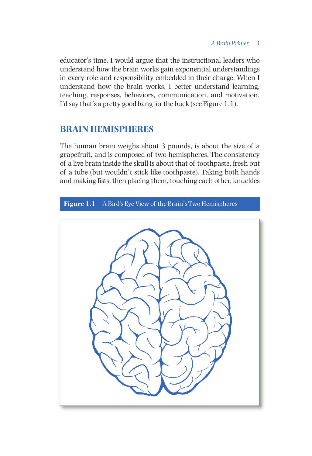educator's time. I would argue that the instructional leaders who understand how the brain works gain exponential understandings in every role and responsibility embedded in their charge. When I understand how the brain works, I better understand learning, teaching, responses, behaviors, communication, and motivation. I'd say that's a pretty good bang for the buck (see Figure 1.1).

# **BRAIN HEMISPHERES**

The human brain weighs about 3 pounds, is about the size of a grapefruit, and is composed of two hemispheres. The consistency of a live brain inside the skull is about that of toothpaste, fresh out of a tube (but wouldn't stick like toothpaste). Taking both hands and making fists, then placing them, touching each other, knuckles

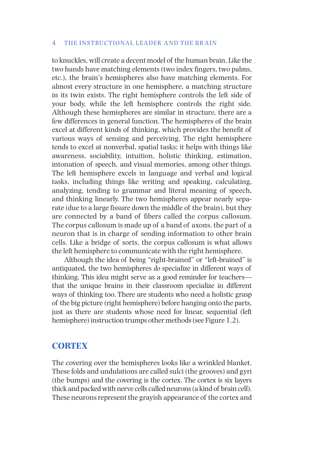to knuckles, will create a decent model of the human brain. Like the two hands have matching elements (two index fingers, two palms, etc.), the brain's hemispheres also have matching elements. For almost every structure in one hemisphere, a matching structure in its twin exists. The right hemisphere controls the left side of your body, while the left hemisphere controls the right side. Although these hemispheres are similar in structure, there are a few differences in general function. The hemispheres of the brain excel at different kinds of thinking, which provides the benefit of various ways of sensing and perceiving. The right hemisphere tends to excel at nonverbal, spatial tasks; it helps with things like awareness, sociability, intuition, holistic thinking, estimation, intonation of speech, and visual memories, among other things. The left hemisphere excels in language and verbal and logical tasks, including things like writing and speaking, calculating, analyzing, tending to grammar and literal meaning of speech, and thinking linearly. The two hemispheres appear nearly separate (due to a large fissure down the middle of the brain), but they are connected by a band of fibers called the corpus callosum. The corpus callosum is made up of a band of axons, the part of a neuron that is in charge of sending information to other brain cells. Like a bridge of sorts, the corpus callosum is what allows the left hemisphere to communicate with the right hemisphere.

Although the idea of being "right-brained" or "left-brained" is antiquated, the two hemispheres *do* specialize in different ways of thinking. This idea might serve as a good reminder for teachers that the unique brains in their classroom specialize in different ways of thinking too. There are students who need a holistic grasp of the big picture (right hemisphere) before hanging onto the parts, just as there are students whose need for linear, sequential (left hemisphere) instruction trumps other methods (see Figure 1.2).

## **CORTEX**

The covering over the hemispheres looks like a wrinkled blanket. These folds and undulations are called sulci (the grooves) and gyri (the bumps) and the covering is the cortex. The cortex is six layers thick and packed with nerve cells called neurons (a kind of brain cell). These neurons represent the grayish appearance of the cortex and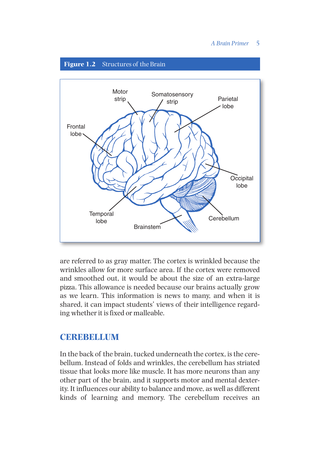#### *A Brain Primer* 5



are referred to as gray matter. The cortex is wrinkled because the wrinkles allow for more surface area. If the cortex were removed and smoothed out, it would be about the size of an extra-large pizza. This allowance is needed because our brains actually grow as we learn. This information is news to many, and when it is shared, it can impact students' views of their intelligence regarding whether it is fixed or malleable.

# **CEREBELLUM**

In the back of the brain, tucked underneath the cortex, is the cerebellum. Instead of folds and wrinkles, the cerebellum has striated tissue that looks more like muscle. It has more neurons than any other part of the brain, and it supports motor and mental dexterity. It influences our ability to balance and move, as well as different kinds of learning and memory. The cerebellum receives an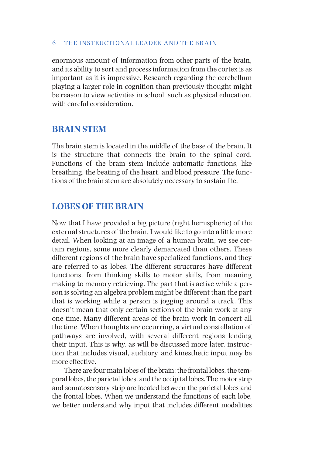enormous amount of information from other parts of the brain, and its ability to sort and process information from the cortex is as important as it is impressive. Research regarding the cerebellum playing a larger role in cognition than previously thought might be reason to view activities in school, such as physical education, with careful consideration.

## **BRAIN STEM**

The brain stem is located in the middle of the base of the brain. It is the structure that connects the brain to the spinal cord. Functions of the brain stem include automatic functions, like breathing, the beating of the heart, and blood pressure. The functions of the brain stem are absolutely necessary to sustain life.

# **LOBES OF THE BRAIN**

Now that I have provided a big picture (right hemispheric) of the external structures of the brain, I would like to go into a little more detail. When looking at an image of a human brain, we see certain regions, some more clearly demarcated than others. These different regions of the brain have specialized functions, and they are referred to as lobes. The different structures have different functions, from thinking skills to motor skills, from meaning making to memory retrieving. The part that is active while a person is solving an algebra problem might be different than the part that is working while a person is jogging around a track. This doesn't mean that only certain sections of the brain work at any one time. Many different areas of the brain work in concert all the time. When thoughts are occurring, a virtual constellation of pathways are involved, with several different regions lending their input. This is why, as will be discussed more later, instruction that includes visual, auditory, and kinesthetic input may be more effective.

There are four main lobes of the brain: the frontal lobes, the temporal lobes, the parietal lobes, and the occipital lobes. The motor strip and somatosensory strip are located between the parietal lobes and the frontal lobes. When we understand the functions of each lobe, we better understand why input that includes different modalities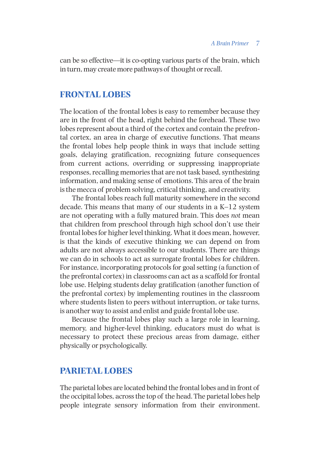can be so effective—it is co-opting various parts of the brain, which in turn, may create more pathways of thought or recall.

#### **FRONTAL LOBES**

The location of the frontal lobes is easy to remember because they are in the front of the head, right behind the forehead. These two lobes represent about a third of the cortex and contain the prefrontal cortex, an area in charge of executive functions. That means the frontal lobes help people think in ways that include setting goals, delaying gratification, recognizing future consequences from current actions, overriding or suppressing inappropriate responses, recalling memories that are not task based, synthesizing information, and making sense of emotions. This area of the brain is the mecca of problem solving, critical thinking, and creativity.

The frontal lobes reach full maturity somewhere in the second decade. This means that many of our students in a K–12 system are not operating with a fully matured brain. This does *not* mean that children from preschool through high school don't use their frontal lobes for higher level thinking. What it does mean, however, is that the kinds of executive thinking we can depend on from adults are not always accessible to our students. There are things we can do in schools to act as surrogate frontal lobes for children. For instance, incorporating protocols for goal setting (a function of the prefrontal cortex) in classrooms can act as a scaffold for frontal lobe use. Helping students delay gratification (another function of the prefrontal cortex) by implementing routines in the classroom where students listen to peers without interruption, or take turns, is another way to assist and enlist and guide frontal lobe use.

Because the frontal lobes play such a large role in learning, memory, and higher-level thinking, educators must do what is necessary to protect these precious areas from damage, either physically or psychologically.

# **PARIETAL LOBES**

The parietal lobes are located behind the frontal lobes and in front of the occipital lobes, across the top of the head. The parietal lobes help people integrate sensory information from their environment.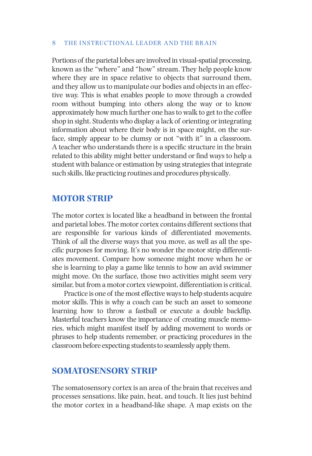Portions of the parietal lobes are involved in visual-spatial processing, known as the "where" and "how" stream. They help people know where they are in space relative to objects that surround them, and they allow us to manipulate our bodies and objects in an effective way. This is what enables people to move through a crowded room without bumping into others along the way or to know approximately how much further one has to walk to get to the coffee shop in sight. Students who display a lack of orienting or integrating information about where their body is in space might, on the surface, simply appear to be clumsy or not "with it" in a classroom. A teacher who understands there is a specific structure in the brain related to this ability might better understand or find ways to help a student with balance or estimation by using strategies that integrate such skills, like practicing routines and procedures physically*.*

## **MOTOR STRIP**

The motor cortex is located like a headband in between the frontal and parietal lobes. The motor cortex contains different sections that are responsible for various kinds of differentiated movements. Think of all the diverse ways that you move, as well as all the specific purposes for moving. It's no wonder the motor strip differentiates movement. Compare how someone might move when he or she is learning to play a game like tennis to how an avid swimmer might move. On the surface, those two activities might seem very similar, but from a motor cortex viewpoint, differentiation is critical.

Practice is one of the most effective ways to help students acquire motor skills. This is why a coach can be such an asset to someone learning how to throw a fastball or execute a double backflip*.*  Masterful teachers know the importance of creating muscle memories, which might manifest itself by adding movement to words or phrases to help students remember, or practicing procedures in the classroom before expecting students to seamlessly apply them.

## **SOMATOSENSORY STRIP**

The somatosensory cortex is an area of the brain that receives and processes sensations, like pain, heat, and touch. It lies just behind the motor cortex in a headband-like shape. A map exists on the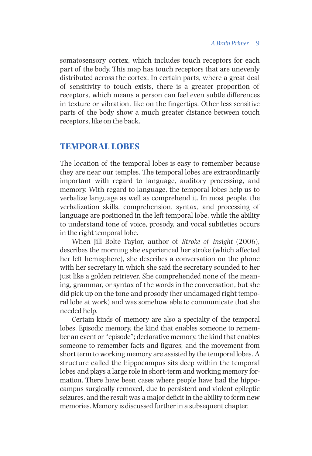somatosensory cortex, which includes touch receptors for each part of the body. This map has touch receptors that are unevenly distributed across the cortex. In certain parts, where a great deal of sensitivity to touch exists, there is a greater proportion of receptors, which means a person can feel even subtle differences in texture or vibration, like on the fingertips. Other less sensitive parts of the body show a much greater distance between touch receptors, like on the back.

## **TEMPORAL LOBES**

The location of the temporal lobes is easy to remember because they are near our temples. The temporal lobes are extraordinarily important with regard to language, auditory processing, and memory. With regard to language, the temporal lobes help us to verbalize language as well as comprehend it. In most people, the verbalization skills, comprehension, syntax, and processing of language are positioned in the left temporal lobe, while the ability to understand tone of voice, prosody, and vocal subtleties occurs in the right temporal lobe.

When Jill Bolte Taylor, author of *Stroke of Insight* (2006), describes the morning she experienced her stroke (which affected her left hemisphere), she describes a conversation on the phone with her secretary in which she said the secretary sounded to her just like a golden retriever. She comprehended none of the meaning, grammar, or syntax of the words in the conversation, but she did pick up on the tone and prosody (her undamaged right temporal lobe at work) and was somehow able to communicate that she needed help.

Certain kinds of memory are also a specialty of the temporal lobes. Episodic memory, the kind that enables someone to remember an event or "episode"; declarative memory, the kind that enables someone to remember facts and figures; and the movement from short term to working memory are assisted by the temporal lobes. A structure called the hippocampus sits deep within the temporal lobes and plays a large role in short-term and working memory formation. There have been cases where people have had the hippocampus surgically removed, due to persistent and violent epileptic seizures, and the result was a major deficit in the ability to form new memories. Memory is discussed further in a subsequent chapter.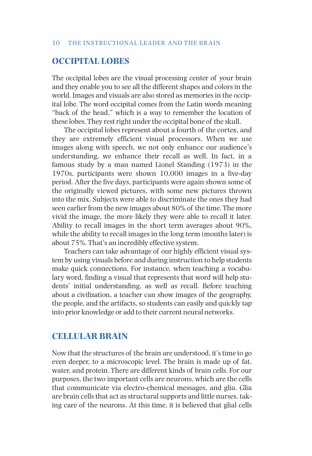# **OCCIPITAL LOBES**

The occipital lobes are the visual processing center of your brain and they enable you to see all the different shapes and colors in the world. Images and visuals are also stored as memories in the occipital lobe. The word occipital comes from the Latin words meaning "back of the head," which is a way to remember the location of these lobes. They rest right under the occipital bone of the skull.

The occipital lobes represent about a fourth of the cortex, and they are extremely efficient visual processors. When we use images along with speech, we not only enhance our audience's understanding, we enhance their recall as well. In fact, in a famous study by a man named Lionel Standing (1973) in the 1970s, participants were shown 10,000 images in a five-day period. After the five days, participants were again shown some of the originally viewed pictures, with some new pictures thrown into the mix. Subjects were able to discriminate the ones they had seen earlier from the new images about 80% of the time. The more vivid the image, the more likely they were able to recall it later. Ability to recall images in the short term averages about 90%, while the ability to recall images in the long term (months later) is about 75%. That's an incredibly effective system.

Teachers can take advantage of our highly efficient visual system by using visuals before and during instruction to help students make quick connections. For instance, when teaching a vocabulary word, finding a visual that represents that word will help students' initial understanding, as well as recall. Before teaching about a civilization, a teacher can show images of the geography, the people, and the artifacts, so students can easily and quickly tap into prior knowledge or add to their current neural networks.

## **CELLULAR BRAIN**

Now that the structures of the brain are understood, it's time to go even deeper, to a microscopic level. The brain is made up of fat, water, and protein. There are different kinds of brain cells. For our purposes, the two important cells are neurons, which are the cells that communicate via electro-chemical messages, and glia. Glia are brain cells that act as structural supports and little nurses, taking care of the neurons. At this time, it is believed that glial cells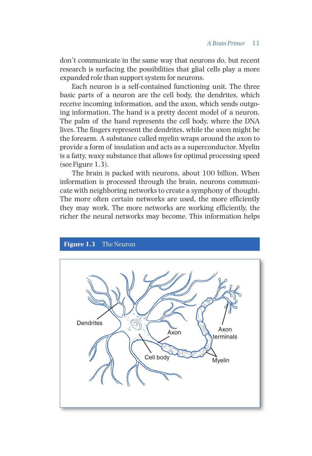don't communicate in the same way that neurons do, but recent research is surfacing the possibilities that glial cells play a more expanded role than support system for neurons.

Each neuron is a self-contained functioning unit. The three basic parts of a neuron are the cell body, the dendrites, which receive incoming information, and the axon, which sends outgoing information. The hand is a pretty decent model of a neuron. The palm of the hand represents the cell body, where the DNA lives. The fingers represent the dendrites, while the axon might be the forearm. A substance called myelin wraps around the axon to provide a form of insulation and acts as a superconductor. Myelin is a fatty, waxy substance that allows for optimal processing speed (see Figure 1.3).

The brain is packed with neurons, about 100 billion. When information is processed through the brain, neurons communicate with neighboring networks to create a symphony of thought. The more often certain networks are used, the more efficiently they may work. The more networks are working efficiently, the richer the neural networks may become. This information helps

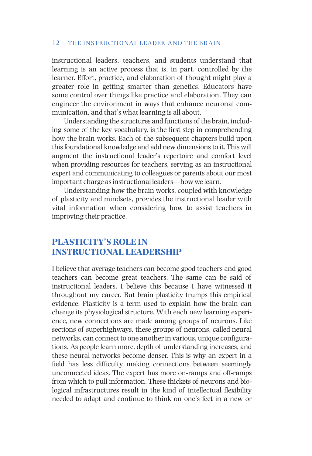instructional leaders, teachers, and students understand that learning is an active process that is, in part, controlled by the learner. Effort, practice, and elaboration of thought might play a greater role in getting smarter than genetics. Educators have some control over things like practice and elaboration. They can engineer the environment in ways that enhance neuronal communication, and that's what learning is all about.

Understanding the structures and functions of the brain, including some of the key vocabulary, is the first step in comprehending how the brain works. Each of the subsequent chapters build upon this foundational knowledge and add new dimensions to it. This will augment the instructional leader's repertoire and comfort level when providing resources for teachers, serving as an instructional expert and communicating to colleagues or parents about our most important charge as instructional leaders—how we learn.

Understanding how the brain works, coupled with knowledge of plasticity and mindsets, provides the instructional leader with vital information when considering how to assist teachers in improving their practice.

# **PLASTICITY'S ROLE IN INSTRUCTIONAL LEADERSHIP**

I believe that average teachers can become good teachers and good teachers can become great teachers. The same can be said of instructional leaders. I believe this because I have witnessed it throughout my career. But brain plasticity trumps this empirical evidence. Plasticity is a term used to explain how the brain can change its physiological structure. With each new learning experience, new connections are made among groups of neurons. Like sections of superhighways, these groups of neurons, called neural networks, can connect to one another in various, unique configurations. As people learn more, depth of understanding increases, and these neural networks become denser. This is why an expert in a field has less difficulty making connections between seemingly unconnected ideas. The expert has more on-ramps and off-ramps from which to pull information. These thickets of neurons and biological infrastructures result in the kind of intellectual flexibility needed to adapt and continue to think on one's feet in a new or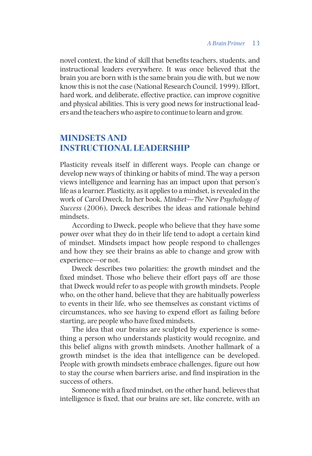novel context, the kind of skill that benefits teachers, students, and instructional leaders everywhere. It was once believed that the brain you are born with is the same brain you die with, but we now know this is not the case (National Research Council, 1999). Effort, hard work, and deliberate, effective practice, can improve cognitive and physical abilities. This is very good news for instructional leaders and the teachers who aspire to continue to learn and grow.

# **MINDSETS AND INSTRUCTIONAL LEADERSHIP**

Plasticity reveals itself in different ways. People can change or develop new ways of thinking or habits of mind. The way a person views intelligence and learning has an impact upon that person's life as a learner. Plasticity, as it applies to a mindset, is revealed in the work of Carol Dweck. In her book, *Mindset—The New Psychology of Success* (2006), Dweck describes the ideas and rationale behind mindsets.

According to Dweck, people who believe that they have some power over what they do in their life tend to adopt a certain kind of mindset. Mindsets impact how people respond to challenges and how they see their brains as able to change and grow with experience—or not.

Dweck describes two polarities: the growth mindset and the fixed mindset. Those who believe their effort pays off are those that Dweck would refer to as people with growth mindsets. People who, on the other hand, believe that they are habitually powerless to events in their life, who see themselves as constant victims of circumstances, who see having to expend effort as failing before starting, are people who have fixed mindsets.

The idea that our brains are sculpted by experience is something a person who understands plasticity would recognize, and this belief aligns with growth mindsets. Another hallmark of a growth mindset is the idea that intelligence can be developed. People with growth mindsets embrace challenges, figure out how to stay the course when barriers arise, and find inspiration in the success of others.

Someone with a fixed mindset, on the other hand, believes that intelligence is fixed, that our brains are set, like concrete, with an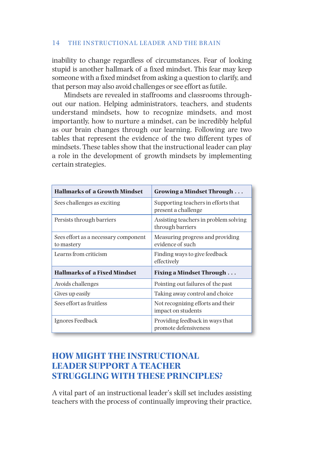inability to change regardless of circumstances. Fear of looking stupid is another hallmark of a fixed mindset. This fear may keep someone with a fixed mindset from asking a question to clarify, and that person may also avoid challenges or see effort as futile.

Mindsets are revealed in staffrooms and classrooms throughout our nation. Helping administrators, teachers, and students understand mindsets, how to recognize mindsets, and most importantly, how to nurture a mindset, can be incredibly helpful as our brain changes through our learning. Following are two tables that represent the evidence of the two different types of mindsets. These tables show that the instructional leader can play a role in the development of growth mindsets by implementing certain strategies.

| <b>Hallmarks of a Growth Mindset</b>               | Growing a Mindset Through                                  |  |  |
|----------------------------------------------------|------------------------------------------------------------|--|--|
| Sees challenges as exciting                        | Supporting teachers in efforts that<br>present a challenge |  |  |
| Persists through barriers                          | Assisting teachers in problem solving<br>through barriers  |  |  |
| Sees effort as a necessary component<br>to mastery | Measuring progress and providing<br>evidence of such       |  |  |
| Learns from criticism                              | Finding ways to give feedback<br>effectively               |  |  |
| <b>Hallmarks of a Fixed Mindset</b>                | <b>Fixing a Mindset Through</b>                            |  |  |
| Avoids challenges                                  | Pointing out failures of the past                          |  |  |
| Gives up easily                                    | Taking away control and choice                             |  |  |
| Sees effort as fruitless                           | Not recognizing efforts and their<br>impact on students    |  |  |
| Ignores Feedback                                   | Providing feedback in ways that<br>promote defensiveness   |  |  |

# **HOW MIGHT THE INSTRUCTIONAL LEADER SUPPORT A TEACHER STRUGGLING WITH THESE PRINCIPLES?**

A vital part of an instructional leader's skill set includes assisting teachers with the process of continually improving their practice,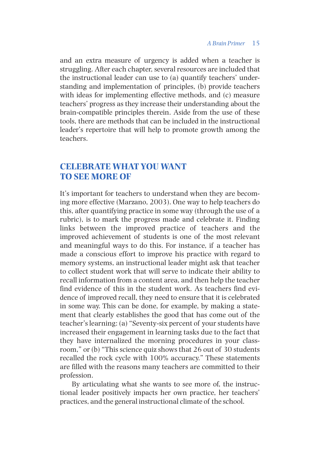and an extra measure of urgency is added when a teacher is struggling. After each chapter, several resources are included that the instructional leader can use to (a) quantify teachers' understanding and implementation of principles, (b) provide teachers with ideas for implementing effective methods, and (c) measure teachers' progress as they increase their understanding about the brain-compatible principles therein. Aside from the use of these tools, there are methods that can be included in the instructional leader's repertoire that will help to promote growth among the teachers.

# **CELEBRATE WHAT YOU WANT TO SEE MORE OF**

It's important for teachers to understand when they are becoming more effective (Marzano, 2003). One way to help teachers do this, after quantifying practice in some way (through the use of a rubric), is to mark the progress made and celebrate it. Finding links between the improved practice of teachers and the improved achievement of students is one of the most relevant and meaningful ways to do this. For instance, if a teacher has made a conscious effort to improve his practice with regard to memory systems, an instructional leader might ask that teacher to collect student work that will serve to indicate their ability to recall information from a content area, and then help the teacher find evidence of this in the student work. As teachers find evidence of improved recall, they need to ensure that it is celebrated in some way. This can be done, for example, by making a statement that clearly establishes the good that has come out of the teacher's learning: (a) "Seventy-six percent of your students have increased their engagement in learning tasks due to the fact that they have internalized the morning procedures in your classroom," or (b) "This science quiz shows that 26 out of 30 students recalled the rock cycle with 100% accuracy." These statements are filled with the reasons many teachers are committed to their profession.

By articulating what she wants to see more of, the instructional leader positively impacts her own practice, her teachers' practices, and the general instructional climate of the school.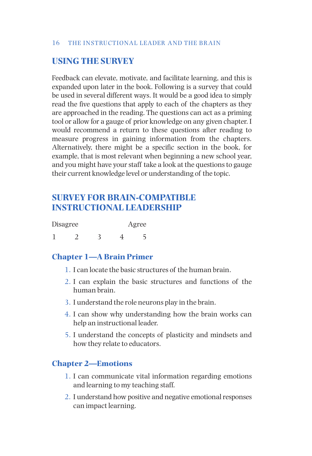# **USING THE SURVEY**

Feedback can elevate, motivate, and facilitate learning, and this is expanded upon later in the book. Following is a survey that could be used in several different ways. It would be a good idea to simply read the five questions that apply to each of the chapters as they are approached in the reading. The questions can act as a priming tool or allow for a gauge of prior knowledge on any given chapter. I would recommend a return to these questions after reading to measure progress in gaining information from the chapters. Alternatively, there might be a specific section in the book, for example, that is most relevant when beginning a new school year, and you might have your staff take a look at the questions to gauge their current knowledge level or understanding of the topic.

# **SURVEY FOR BRAIN-COMPATIBLE INSTRUCTIONAL LEADERSHIP**

| Disagree |  | Agree |  |  |
|----------|--|-------|--|--|
|          |  |       |  |  |

# **Chapter 1—A Brain Primer**

- 1. I can locate the basic structures of the human brain.
- 2. I can explain the basic structures and functions of the human brain.
- 3. I understand the role neurons play in the brain.
- 4. I can show why understanding how the brain works can help an instructional leader.
- 5. I understand the concepts of plasticity and mindsets and how they relate to educators.

## **Chapter 2—Emotions**

- 1. I can communicate vital information regarding emotions and learning to my teaching staff.
- 2. I understand how positive and negative emotional responses can impact learning.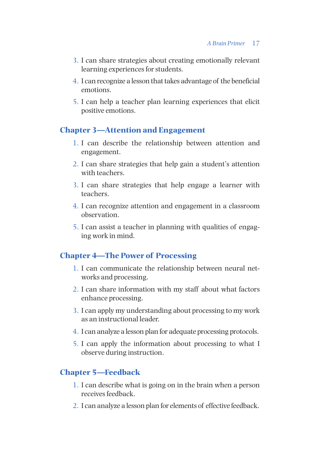- 3. I can share strategies about creating emotionally relevant learning experiences for students.
- 4. I can recognize a lesson that takes advantage of the beneficial emotions.
- 5. I can help a teacher plan learning experiences that elicit positive emotions.

## **Chapter 3—Attention and Engagement**

- 1. I can describe the relationship between attention and engagement.
- 2. I can share strategies that help gain a student's attention with teachers.
- 3. I can share strategies that help engage a learner with teachers.
- 4. I can recognize attention and engagement in a classroom observation.
- 5. I can assist a teacher in planning with qualities of engaging work in mind.

# **Chapter 4—The Power of Processing**

- 1. I can communicate the relationship between neural networks and processing.
- 2. I can share information with my staff about what factors enhance processing.
- 3. I can apply my understanding about processing to my work as an instructional leader.
- 4. I can analyze a lesson plan for adequate processing protocols.
- 5. I can apply the information about processing to what I observe during instruction.

# **Chapter 5—Feedback**

- 1. I can describe what is going on in the brain when a person receives feedback.
- 2. I can analyze a lesson plan for elements of effective feedback.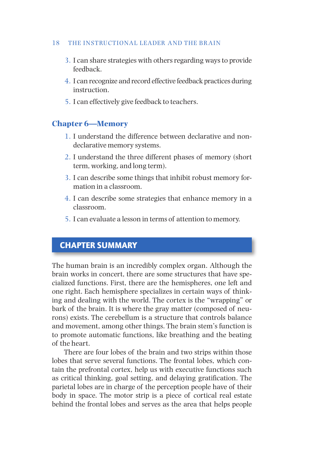- 3. I can share strategies with others regarding ways to provide feedback.
- 4. I can recognize and record effective feedback practices during instruction.
- 5. I can effectively give feedback to teachers.

## **Chapter 6—Memory**

- 1. I understand the difference between declarative and nondeclarative memory systems.
- 2. I understand the three different phases of memory (short term, working, and long term).
- 3. I can describe some things that inhibit robust memory formation in a classroom.
- 4. I can describe some strategies that enhance memory in a classroom.
- 5. I can evaluate a lesson in terms of attention to memory.

# CHAPTER SUMMARY

The human brain is an incredibly complex organ. Although the brain works in concert, there are some structures that have specialized functions. First, there are the hemispheres, one left and one right. Each hemisphere specializes in certain ways of thinking and dealing with the world. The cortex is the "wrapping" or bark of the brain. It is where the gray matter (composed of neurons) exists. The cerebellum is a structure that controls balance and movement, among other things. The brain stem's function is to promote automatic functions, like breathing and the beating of the heart.

There are four lobes of the brain and two strips within those lobes that serve several functions. The frontal lobes, which contain the prefrontal cortex, help us with executive functions such as critical thinking, goal setting, and delaying gratification. The parietal lobes are in charge of the perception people have of their body in space. The motor strip is a piece of cortical real estate behind the frontal lobes and serves as the area that helps people